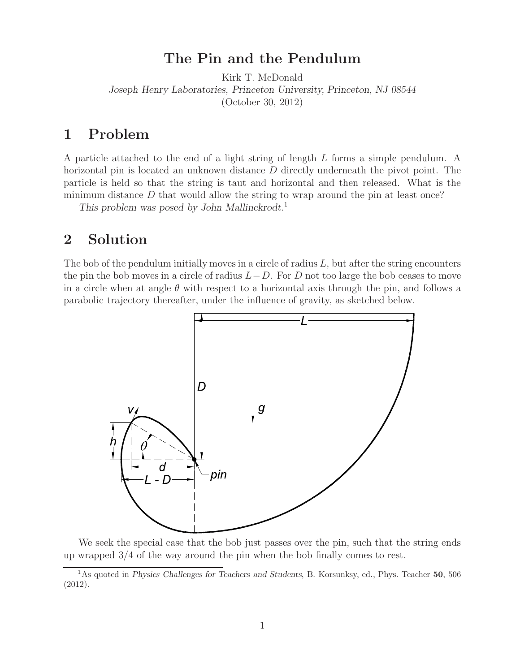## **The Pin and the Pendulum**

Kirk T. McDonald *Joseph Henry Laboratories, Princeton University, Princeton, NJ 08544* (October 30, 2012)

## **1 Problem**

A particle attached to the end of a light string of length L forms a simple pendulum. A horizontal pin is located an unknown distance D directly underneath the pivot point. The particle is held so that the string is taut and horizontal and then released. What is the minimum distance  $D$  that would allow the string to wrap around the pin at least once?

*This problem was posed by John Mallinckrodt.*<sup>1</sup>

## **2 Solution**

The bob of the pendulum initially moves in a circle of radius  $L$ , but after the string encounters the pin the bob moves in a circle of radius  $L-D$ . For D not too large the bob ceases to move in a circle when at angle  $\theta$  with respect to a horizontal axis through the pin, and follows a parabolic trajectory thereafter, under the influence of gravity, as sketched below.



We seek the special case that the bob just passes over the pin, such that the string ends up wrapped 3/4 of the way around the pin when the bob finally comes to rest.

<sup>1</sup>As quoted in *Physics Challenges for Teachers and Students*, B. Korsunksy, ed., Phys. Teacher **50**, 506 (2012).